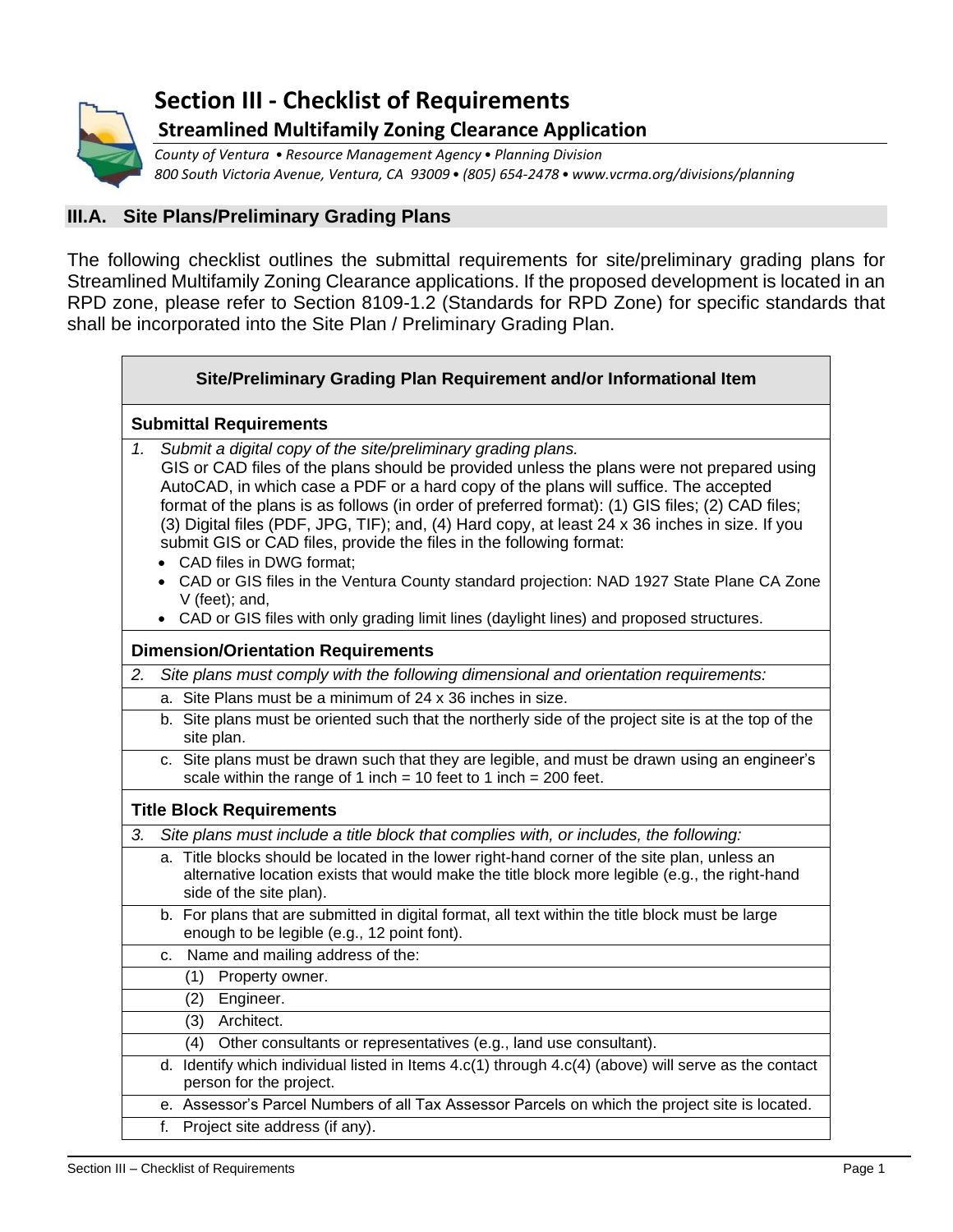

# **Section III - Checklist of Requirements Streamlined Multifamily Zoning Clearance Application**

*County of Ventura • Resource Management Agency• Planning Division 800 South Victoria Avenue, Ventura, CA 93009• (805) 654-2478• www.vcrma.org/divisions/planning*

#### **III.A. Site Plans/Preliminary Grading Plans**

The following checklist outlines the submittal requirements for site/preliminary grading plans for Streamlined Multifamily Zoning Clearance applications. If the proposed development is located in an RPD zone, please refer to Section 8109-1.2 (Standards for RPD Zone) for specific standards that shall be incorporated into the Site Plan / Preliminary Grading Plan.

| Site/Preliminary Grading Plan Requirement and/or Informational Item                                                                                                                                                                                                                                                                                                                                                                                                                                                                                                                                                                                                                                                                                                          |  |  |
|------------------------------------------------------------------------------------------------------------------------------------------------------------------------------------------------------------------------------------------------------------------------------------------------------------------------------------------------------------------------------------------------------------------------------------------------------------------------------------------------------------------------------------------------------------------------------------------------------------------------------------------------------------------------------------------------------------------------------------------------------------------------------|--|--|
| <b>Submittal Requirements</b>                                                                                                                                                                                                                                                                                                                                                                                                                                                                                                                                                                                                                                                                                                                                                |  |  |
| Submit a digital copy of the site/preliminary grading plans.<br>1.<br>GIS or CAD files of the plans should be provided unless the plans were not prepared using<br>AutoCAD, in which case a PDF or a hard copy of the plans will suffice. The accepted<br>format of the plans is as follows (in order of preferred format): (1) GIS files; (2) CAD files;<br>(3) Digital files (PDF, JPG, TIF); and, (4) Hard copy, at least 24 x 36 inches in size. If you<br>submit GIS or CAD files, provide the files in the following format:<br>CAD files in DWG format;<br>• CAD or GIS files in the Ventura County standard projection: NAD 1927 State Plane CA Zone<br>V (feet); and,<br>• CAD or GIS files with only grading limit lines (daylight lines) and proposed structures. |  |  |
| <b>Dimension/Orientation Requirements</b>                                                                                                                                                                                                                                                                                                                                                                                                                                                                                                                                                                                                                                                                                                                                    |  |  |
| Site plans must comply with the following dimensional and orientation requirements:<br>2.                                                                                                                                                                                                                                                                                                                                                                                                                                                                                                                                                                                                                                                                                    |  |  |
| a. Site Plans must be a minimum of 24 x 36 inches in size.                                                                                                                                                                                                                                                                                                                                                                                                                                                                                                                                                                                                                                                                                                                   |  |  |
| b. Site plans must be oriented such that the northerly side of the project site is at the top of the<br>site plan.                                                                                                                                                                                                                                                                                                                                                                                                                                                                                                                                                                                                                                                           |  |  |
| c. Site plans must be drawn such that they are legible, and must be drawn using an engineer's<br>scale within the range of 1 inch = 10 feet to 1 inch = 200 feet.                                                                                                                                                                                                                                                                                                                                                                                                                                                                                                                                                                                                            |  |  |
| <b>Title Block Requirements</b>                                                                                                                                                                                                                                                                                                                                                                                                                                                                                                                                                                                                                                                                                                                                              |  |  |
| 3.<br>Site plans must include a title block that complies with, or includes, the following:                                                                                                                                                                                                                                                                                                                                                                                                                                                                                                                                                                                                                                                                                  |  |  |
| a. Title blocks should be located in the lower right-hand corner of the site plan, unless an<br>alternative location exists that would make the title block more legible (e.g., the right-hand<br>side of the site plan).                                                                                                                                                                                                                                                                                                                                                                                                                                                                                                                                                    |  |  |
| b. For plans that are submitted in digital format, all text within the title block must be large<br>enough to be legible (e.g., 12 point font).                                                                                                                                                                                                                                                                                                                                                                                                                                                                                                                                                                                                                              |  |  |
| c. Name and mailing address of the:                                                                                                                                                                                                                                                                                                                                                                                                                                                                                                                                                                                                                                                                                                                                          |  |  |
| Property owner.<br>(1)                                                                                                                                                                                                                                                                                                                                                                                                                                                                                                                                                                                                                                                                                                                                                       |  |  |
| (2) Engineer.                                                                                                                                                                                                                                                                                                                                                                                                                                                                                                                                                                                                                                                                                                                                                                |  |  |
| (3) Architect.                                                                                                                                                                                                                                                                                                                                                                                                                                                                                                                                                                                                                                                                                                                                                               |  |  |
| Other consultants or representatives (e.g., land use consultant).<br>(4)<br>d. Identify which individual listed in Items $4.c(1)$ through $4.c(4)$ (above) will serve as the contact                                                                                                                                                                                                                                                                                                                                                                                                                                                                                                                                                                                         |  |  |
| person for the project.                                                                                                                                                                                                                                                                                                                                                                                                                                                                                                                                                                                                                                                                                                                                                      |  |  |
| e. Assessor's Parcel Numbers of all Tax Assessor Parcels on which the project site is located.                                                                                                                                                                                                                                                                                                                                                                                                                                                                                                                                                                                                                                                                               |  |  |
| Project site address (if any).<br>f.                                                                                                                                                                                                                                                                                                                                                                                                                                                                                                                                                                                                                                                                                                                                         |  |  |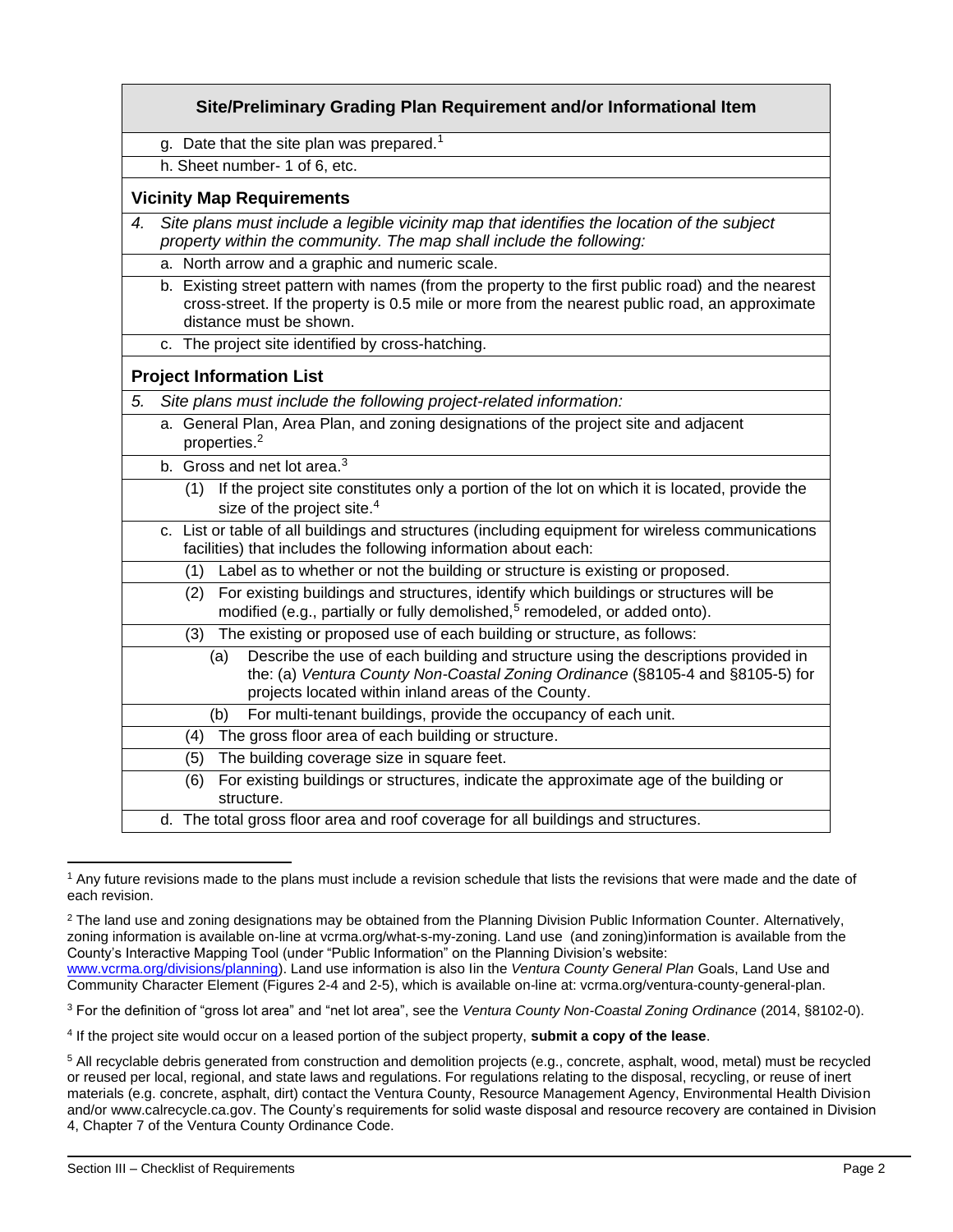|    | g. Date that the site plan was prepared. <sup>1</sup>                                                                                                                                                                              |  |
|----|------------------------------------------------------------------------------------------------------------------------------------------------------------------------------------------------------------------------------------|--|
|    | h. Sheet number- 1 of 6, etc.                                                                                                                                                                                                      |  |
|    | <b>Vicinity Map Requirements</b>                                                                                                                                                                                                   |  |
| 4. | Site plans must include a legible vicinity map that identifies the location of the subject<br>property within the community. The map shall include the following:                                                                  |  |
|    | a. North arrow and a graphic and numeric scale.                                                                                                                                                                                    |  |
|    | b. Existing street pattern with names (from the property to the first public road) and the nearest<br>cross-street. If the property is 0.5 mile or more from the nearest public road, an approximate<br>distance must be shown.    |  |
|    | c. The project site identified by cross-hatching.                                                                                                                                                                                  |  |
|    | <b>Project Information List</b>                                                                                                                                                                                                    |  |
| 5. | Site plans must include the following project-related information:                                                                                                                                                                 |  |
|    | a. General Plan, Area Plan, and zoning designations of the project site and adjacent<br>properties. <sup>2</sup>                                                                                                                   |  |
|    | b. Gross and net lot area. <sup>3</sup>                                                                                                                                                                                            |  |
|    | If the project site constitutes only a portion of the lot on which it is located, provide the<br>(1)<br>size of the project site. <sup>4</sup>                                                                                     |  |
|    | c. List or table of all buildings and structures (including equipment for wireless communications<br>facilities) that includes the following information about each:                                                               |  |
|    | (1) Label as to whether or not the building or structure is existing or proposed.                                                                                                                                                  |  |
|    | (2) For existing buildings and structures, identify which buildings or structures will be<br>modified (e.g., partially or fully demolished, <sup>5</sup> remodeled, or added onto).                                                |  |
|    | The existing or proposed use of each building or structure, as follows:<br>(3)                                                                                                                                                     |  |
|    | Describe the use of each building and structure using the descriptions provided in<br>(a)<br>the: (a) Ventura County Non-Coastal Zoning Ordinance (§8105-4 and §8105-5) for<br>projects located within inland areas of the County. |  |
|    | (b) For multi-tenant buildings, provide the occupancy of each unit.                                                                                                                                                                |  |
|    | (4) The gross floor area of each building or structure.                                                                                                                                                                            |  |
|    | (5) The building coverage size in square feet.                                                                                                                                                                                     |  |
|    | For existing buildings or structures, indicate the approximate age of the building or<br>(6)<br>structure.                                                                                                                         |  |
|    | d. The total gross floor area and roof coverage for all buildings and structures.                                                                                                                                                  |  |

<sup>&</sup>lt;sup>1</sup> Any future revisions made to the plans must include a revision schedule that lists the revisions that were made and the date of each revision.

 $2$  The land use and zoning designations may be obtained from the Planning Division Public Information Counter. Alternatively, zoning information is available on-line at vcrma.org/what-s-my-zoning. Land use (and zoning)information is available from the County's Interactive Mapping Tool (under "Public Information" on the Planning Division's website:

<sup>3</sup> For the definition of "gross lot area" and "net lot area", see the *Ventura County Non-Coastal Zoning Ordinance* (2014, §8102-0).

[www.vcrma.org/divisions/planning\)](https://vcrma.org/divisions/planning). Land use information is also Iin the *Ventura County General Plan* Goals, Land Use and Community Character Element (Figures 2-4 and 2-5), which is available on-line at: vcrma.org/ventura-county-general-plan.

<sup>4</sup> If the project site would occur on a leased portion of the subject property, **submit a copy of the lease**.

<sup>5</sup> All recyclable debris generated from construction and demolition projects (e.g., concrete, asphalt, wood, metal) must be recycled or reused per local, regional, and state laws and regulations. For regulations relating to the disposal, recycling, or reuse of inert materials (e.g. concrete, asphalt, dirt) contact the Ventura County, Resource Management Agency, Environmental Health Division and/or www.calrecycle.ca.gov. The County's requirements for solid waste disposal and resource recovery are contained in Division 4, Chapter 7 of the Ventura County Ordinance Code.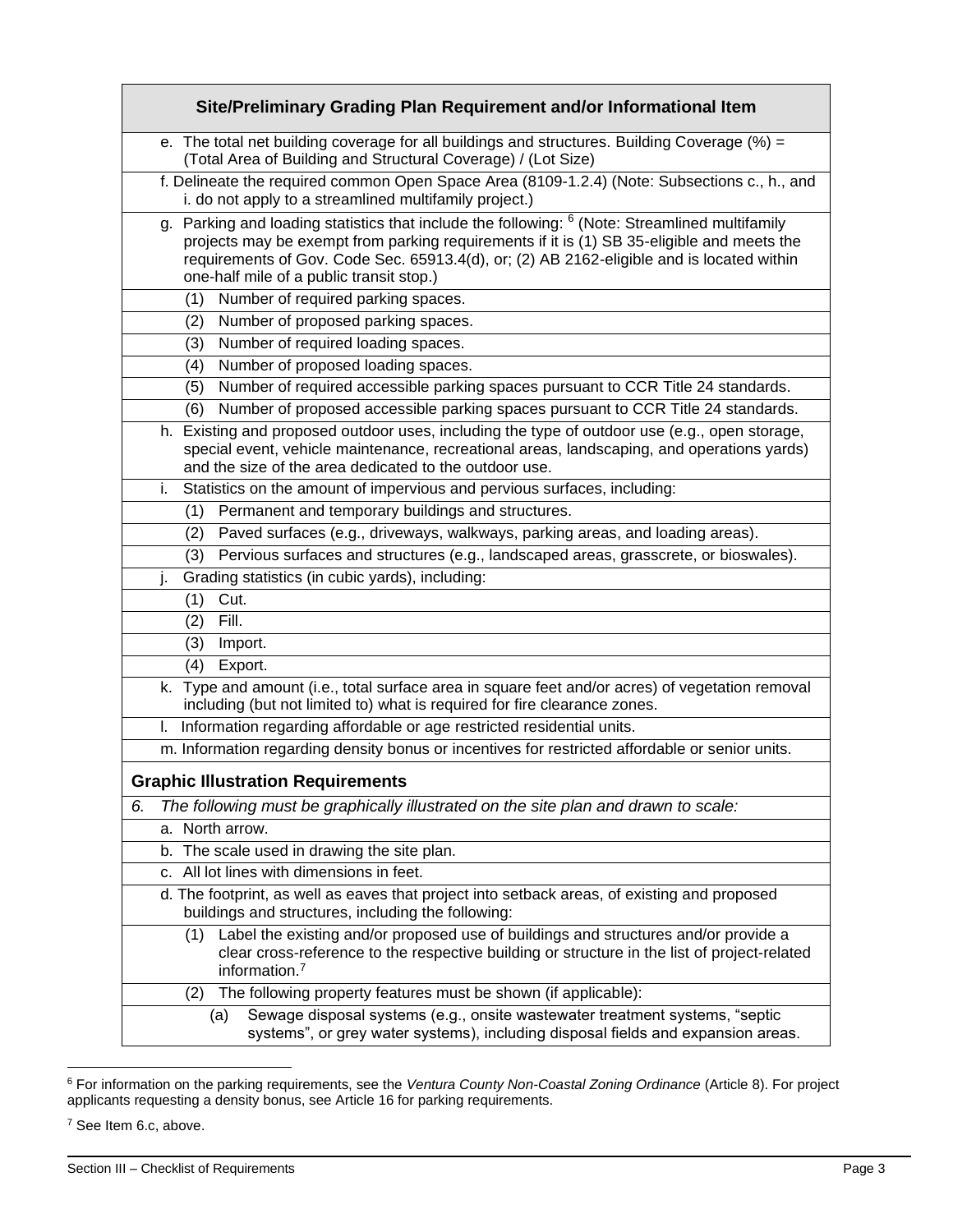| Site/Preliminary Grading Plan Requirement and/or Informational Item                                                                                                                                                                                                                                                                              |
|--------------------------------------------------------------------------------------------------------------------------------------------------------------------------------------------------------------------------------------------------------------------------------------------------------------------------------------------------|
| e. The total net building coverage for all buildings and structures. Building Coverage $%$ =<br>(Total Area of Building and Structural Coverage) / (Lot Size)                                                                                                                                                                                    |
| f. Delineate the required common Open Space Area (8109-1.2.4) (Note: Subsections c., h., and<br>i. do not apply to a streamlined multifamily project.)                                                                                                                                                                                           |
| g. Parking and loading statistics that include the following: <sup>6</sup> (Note: Streamlined multifamily<br>projects may be exempt from parking requirements if it is (1) SB 35-eligible and meets the<br>requirements of Gov. Code Sec. 65913.4(d), or; (2) AB 2162-eligible and is located within<br>one-half mile of a public transit stop.) |
| Number of required parking spaces.<br>(1)                                                                                                                                                                                                                                                                                                        |
| Number of proposed parking spaces.<br>(2)                                                                                                                                                                                                                                                                                                        |
| Number of required loading spaces.<br>(3)                                                                                                                                                                                                                                                                                                        |
| Number of proposed loading spaces.<br>(4)                                                                                                                                                                                                                                                                                                        |
| Number of required accessible parking spaces pursuant to CCR Title 24 standards.<br>(5)                                                                                                                                                                                                                                                          |
| Number of proposed accessible parking spaces pursuant to CCR Title 24 standards.<br>(6)                                                                                                                                                                                                                                                          |
| h. Existing and proposed outdoor uses, including the type of outdoor use (e.g., open storage,<br>special event, vehicle maintenance, recreational areas, landscaping, and operations yards)<br>and the size of the area dedicated to the outdoor use.                                                                                            |
| Statistics on the amount of impervious and pervious surfaces, including:<br>i.                                                                                                                                                                                                                                                                   |
| Permanent and temporary buildings and structures.<br>(1)                                                                                                                                                                                                                                                                                         |
| Paved surfaces (e.g., driveways, walkways, parking areas, and loading areas).<br>(2)                                                                                                                                                                                                                                                             |
| Pervious surfaces and structures (e.g., landscaped areas, grasscrete, or bioswales).<br>(3)                                                                                                                                                                                                                                                      |
| Grading statistics (in cubic yards), including:<br>j.                                                                                                                                                                                                                                                                                            |
| Cut.<br>(1)                                                                                                                                                                                                                                                                                                                                      |
| Fill.<br>(2)                                                                                                                                                                                                                                                                                                                                     |
| (3)<br>Import.                                                                                                                                                                                                                                                                                                                                   |
| (4)<br>Export.                                                                                                                                                                                                                                                                                                                                   |
| k. Type and amount (i.e., total surface area in square feet and/or acres) of vegetation removal<br>including (but not limited to) what is required for fire clearance zones.                                                                                                                                                                     |
| Information regarding affordable or age restricted residential units.<br>L.                                                                                                                                                                                                                                                                      |
| m. Information regarding density bonus or incentives for restricted affordable or senior units.                                                                                                                                                                                                                                                  |
| <b>Graphic Illustration Requirements</b>                                                                                                                                                                                                                                                                                                         |
| The following must be graphically illustrated on the site plan and drawn to scale:<br>6.                                                                                                                                                                                                                                                         |
| a. North arrow.                                                                                                                                                                                                                                                                                                                                  |
| b. The scale used in drawing the site plan.                                                                                                                                                                                                                                                                                                      |
| All lot lines with dimensions in feet.<br>c.                                                                                                                                                                                                                                                                                                     |
| d. The footprint, as well as eaves that project into setback areas, of existing and proposed<br>buildings and structures, including the following:                                                                                                                                                                                               |
| Label the existing and/or proposed use of buildings and structures and/or provide a<br>(1)<br>clear cross-reference to the respective building or structure in the list of project-related<br>information. <sup>7</sup>                                                                                                                          |
| The following property features must be shown (if applicable):<br>(2)                                                                                                                                                                                                                                                                            |
| Sewage disposal systems (e.g., onsite wastewater treatment systems, "septic<br>(a)<br>systems", or grey water systems), including disposal fields and expansion areas.                                                                                                                                                                           |

<sup>6</sup> For information on the parking requirements, see the *Ventura County Non-Coastal Zoning Ordinance* (Article 8). For project applicants requesting a density bonus, see Article 16 for parking requirements.

<sup>7</sup> See Item 6.c, above.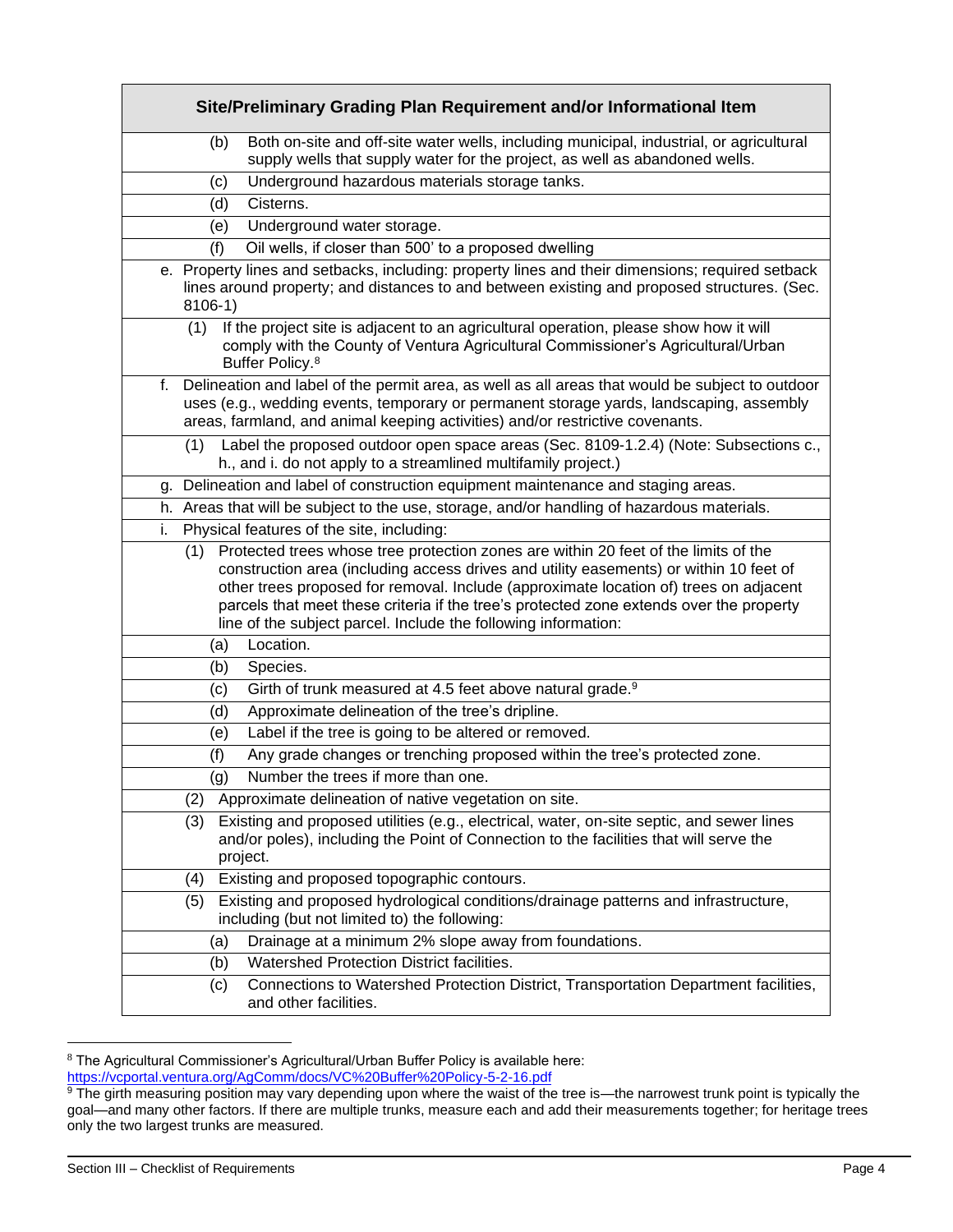| Site/Preliminary Grading Plan Requirement and/or Informational Item                                                                                                                                                                                                                                                                                                                                                                        |
|--------------------------------------------------------------------------------------------------------------------------------------------------------------------------------------------------------------------------------------------------------------------------------------------------------------------------------------------------------------------------------------------------------------------------------------------|
| Both on-site and off-site water wells, including municipal, industrial, or agricultural<br>(b)<br>supply wells that supply water for the project, as well as abandoned wells.                                                                                                                                                                                                                                                              |
| Underground hazardous materials storage tanks.<br>(c)                                                                                                                                                                                                                                                                                                                                                                                      |
| Cisterns.<br>(d)                                                                                                                                                                                                                                                                                                                                                                                                                           |
| Underground water storage.<br>(e)                                                                                                                                                                                                                                                                                                                                                                                                          |
| (f)<br>Oil wells, if closer than 500' to a proposed dwelling                                                                                                                                                                                                                                                                                                                                                                               |
| e. Property lines and setbacks, including: property lines and their dimensions; required setback<br>lines around property; and distances to and between existing and proposed structures. (Sec.<br>$8106-1)$                                                                                                                                                                                                                               |
| If the project site is adjacent to an agricultural operation, please show how it will<br>(1)<br>comply with the County of Ventura Agricultural Commissioner's Agricultural/Urban<br>Buffer Policy. <sup>8</sup>                                                                                                                                                                                                                            |
| Delineation and label of the permit area, as well as all areas that would be subject to outdoor<br>f.<br>uses (e.g., wedding events, temporary or permanent storage yards, landscaping, assembly<br>areas, farmland, and animal keeping activities) and/or restrictive covenants.                                                                                                                                                          |
| Label the proposed outdoor open space areas (Sec. 8109-1.2.4) (Note: Subsections c.,<br>(1)<br>h., and i. do not apply to a streamlined multifamily project.)                                                                                                                                                                                                                                                                              |
| g. Delineation and label of construction equipment maintenance and staging areas.                                                                                                                                                                                                                                                                                                                                                          |
| h. Areas that will be subject to the use, storage, and/or handling of hazardous materials.                                                                                                                                                                                                                                                                                                                                                 |
| Physical features of the site, including:<br>i.                                                                                                                                                                                                                                                                                                                                                                                            |
| Protected trees whose tree protection zones are within 20 feet of the limits of the<br>(1)<br>construction area (including access drives and utility easements) or within 10 feet of<br>other trees proposed for removal. Include (approximate location of) trees on adjacent<br>parcels that meet these criteria if the tree's protected zone extends over the property<br>line of the subject parcel. Include the following information: |
| Location.<br>(a)                                                                                                                                                                                                                                                                                                                                                                                                                           |
| Species.<br>(b)                                                                                                                                                                                                                                                                                                                                                                                                                            |
| Girth of trunk measured at 4.5 feet above natural grade. <sup>9</sup><br>(c)                                                                                                                                                                                                                                                                                                                                                               |
| Approximate delineation of the tree's dripline.<br>(d)                                                                                                                                                                                                                                                                                                                                                                                     |
| Label if the tree is going to be altered or removed.<br>(e)                                                                                                                                                                                                                                                                                                                                                                                |
| Any grade changes or trenching proposed within the tree's protected zone.<br>(f)                                                                                                                                                                                                                                                                                                                                                           |
| Number the trees if more than one.<br>(g)                                                                                                                                                                                                                                                                                                                                                                                                  |
| Approximate delineation of native vegetation on site.<br>(2)                                                                                                                                                                                                                                                                                                                                                                               |
| Existing and proposed utilities (e.g., electrical, water, on-site septic, and sewer lines<br>(3)<br>and/or poles), including the Point of Connection to the facilities that will serve the<br>project.                                                                                                                                                                                                                                     |
| Existing and proposed topographic contours.<br>(4)                                                                                                                                                                                                                                                                                                                                                                                         |
| (5)<br>Existing and proposed hydrological conditions/drainage patterns and infrastructure,<br>including (but not limited to) the following:                                                                                                                                                                                                                                                                                                |
| Drainage at a minimum 2% slope away from foundations.<br>(a)                                                                                                                                                                                                                                                                                                                                                                               |
| Watershed Protection District facilities.<br>(b)                                                                                                                                                                                                                                                                                                                                                                                           |
| Connections to Watershed Protection District, Transportation Department facilities,<br>(c)<br>and other facilities.                                                                                                                                                                                                                                                                                                                        |

 $8$  The Agricultural Commissioner's Agricultural/Urban Buffer Policy is available here: <https://vcportal.ventura.org/AgComm/docs/VC%20Buffer%20Policy-5-2-16.pdf>

<sup>&</sup>lt;sup>9</sup> The girth measuring position may vary depending upon where the waist of the tree is—the narrowest trunk point is typically the goal—and many other factors. If there are multiple trunks, measure each and add their measurements together; for heritage trees only the two largest trunks are measured.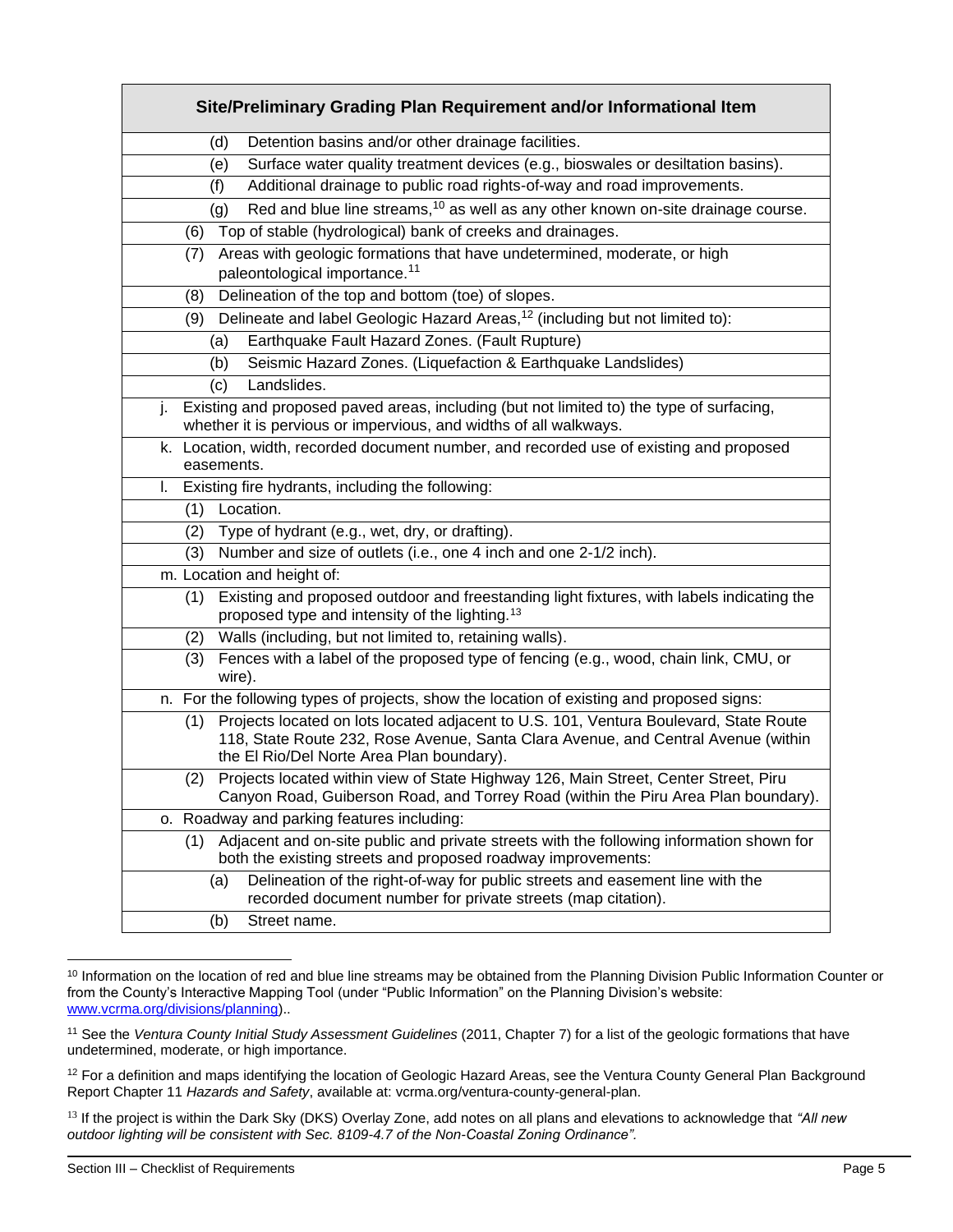| Site/Preliminary Grading Plan Requirement and/or Informational Item                                                                                                                                                            |
|--------------------------------------------------------------------------------------------------------------------------------------------------------------------------------------------------------------------------------|
| Detention basins and/or other drainage facilities.<br>(d)                                                                                                                                                                      |
| Surface water quality treatment devices (e.g., bioswales or desiltation basins).<br>(e)                                                                                                                                        |
| Additional drainage to public road rights-of-way and road improvements.<br>(f)                                                                                                                                                 |
| Red and blue line streams, <sup>10</sup> as well as any other known on-site drainage course.<br>(g)                                                                                                                            |
| Top of stable (hydrological) bank of creeks and drainages.<br>(6)                                                                                                                                                              |
| Areas with geologic formations that have undetermined, moderate, or high<br>(7)<br>paleontological importance. <sup>11</sup>                                                                                                   |
| Delineation of the top and bottom (toe) of slopes.<br>(8)                                                                                                                                                                      |
| Delineate and label Geologic Hazard Areas, <sup>12</sup> (including but not limited to):<br>(9)                                                                                                                                |
| Earthquake Fault Hazard Zones. (Fault Rupture)<br>(a)                                                                                                                                                                          |
| Seismic Hazard Zones. (Liquefaction & Earthquake Landslides)<br>(b)                                                                                                                                                            |
| Landslides.<br>(c)                                                                                                                                                                                                             |
| Existing and proposed paved areas, including (but not limited to) the type of surfacing,<br>j.<br>whether it is pervious or impervious, and widths of all walkways.                                                            |
| k. Location, width, recorded document number, and recorded use of existing and proposed<br>easements.                                                                                                                          |
| Existing fire hydrants, including the following:<br>L.                                                                                                                                                                         |
| Location.<br>(1)                                                                                                                                                                                                               |
| Type of hydrant (e.g., wet, dry, or drafting).<br>(2)                                                                                                                                                                          |
| Number and size of outlets (i.e., one 4 inch and one 2-1/2 inch).<br>(3)                                                                                                                                                       |
| m. Location and height of:                                                                                                                                                                                                     |
| Existing and proposed outdoor and freestanding light fixtures, with labels indicating the<br>(1)<br>proposed type and intensity of the lighting. <sup>13</sup>                                                                 |
| Walls (including, but not limited to, retaining walls).<br>(2)                                                                                                                                                                 |
| Fences with a label of the proposed type of fencing (e.g., wood, chain link, CMU, or<br>(3)<br>wire).                                                                                                                          |
| n. For the following types of projects, show the location of existing and proposed signs:                                                                                                                                      |
| Projects located on lots located adjacent to U.S. 101, Ventura Boulevard, State Route<br>(1)<br>118, State Route 232, Rose Avenue, Santa Clara Avenue, and Central Avenue (within<br>the El Rio/Del Norte Area Plan boundary). |
| Projects located within view of State Highway 126, Main Street, Center Street, Piru<br>(2)<br>Canyon Road, Guiberson Road, and Torrey Road (within the Piru Area Plan boundary).                                               |
| o. Roadway and parking features including:                                                                                                                                                                                     |
| Adjacent and on-site public and private streets with the following information shown for<br>(1)<br>both the existing streets and proposed roadway improvements:                                                                |
| Delineation of the right-of-way for public streets and easement line with the<br>(a)<br>recorded document number for private streets (map citation).                                                                           |
| Street name.<br>(b)                                                                                                                                                                                                            |

<sup>&</sup>lt;sup>10</sup> Information on the location of red and blue line streams may be obtained from the Planning Division Public Information Counter or from the County's Interactive Mapping Tool (under "Public Information" on the Planning Division's website: [www.vcrma.org/divisions/planning\)](https://vcrma.org/divisions/planning)..

<sup>11</sup> See the *Ventura County Initial Study Assessment Guidelines* (2011, Chapter 7) for a list of the geologic formations that have undetermined, moderate, or high importance.

<sup>&</sup>lt;sup>12</sup> For a definition and maps identifying the location of Geologic Hazard Areas, see the Ventura County General Plan Background Report Chapter 11 *Hazards and Safety*, available at: vcrma.org/ventura-county-general-plan.

<sup>13</sup> If the project is within the Dark Sky (DKS) Overlay Zone, add notes on all plans and elevations to acknowledge that *"All new outdoor lighting will be consistent with Sec. 8109-4.7 of the Non-Coastal Zoning Ordinance".*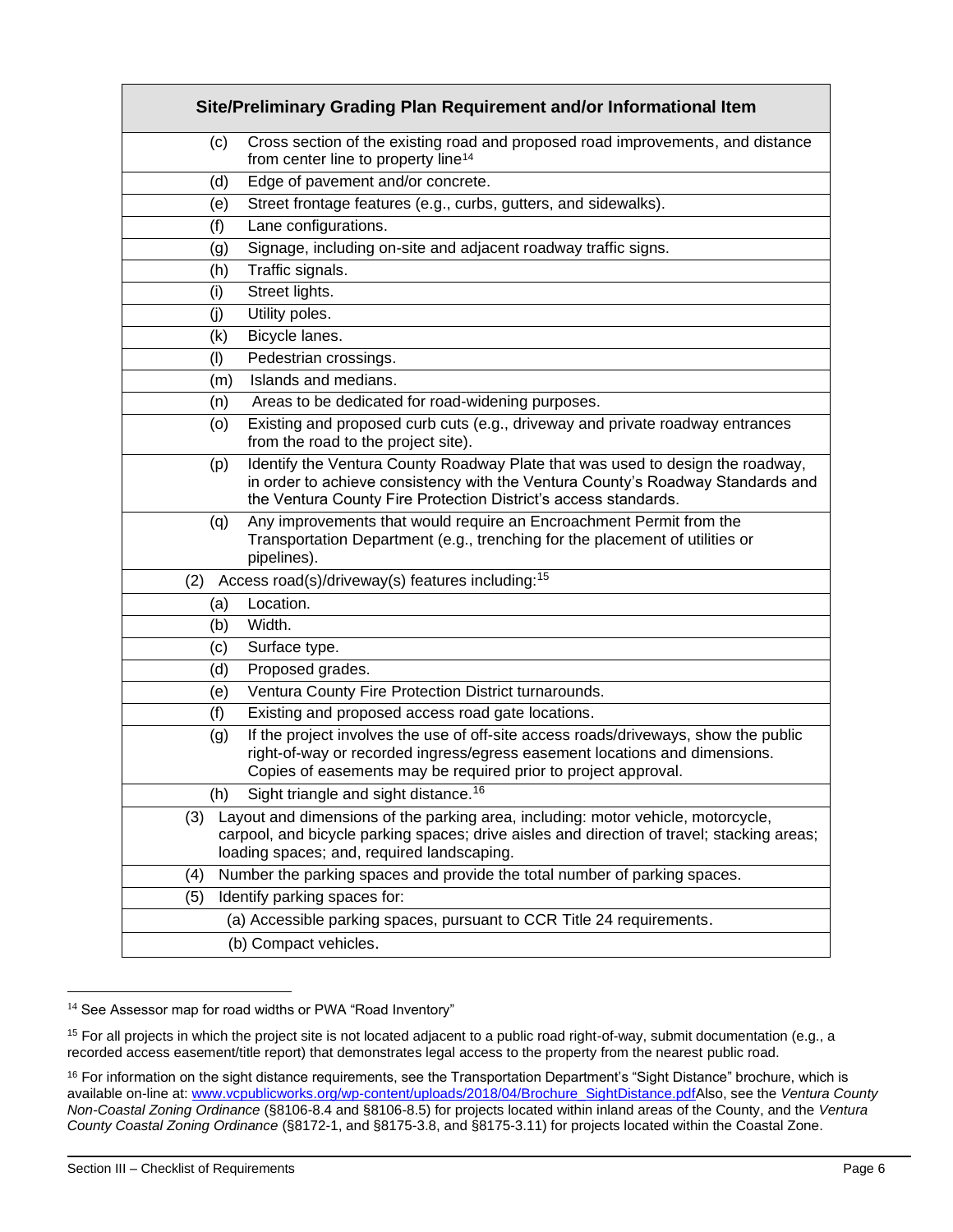|     | Site/Preliminary Grading Plan Requirement and/or Informational Item                                                                                                                                                                  |
|-----|--------------------------------------------------------------------------------------------------------------------------------------------------------------------------------------------------------------------------------------|
| (c) | Cross section of the existing road and proposed road improvements, and distance<br>from center line to property line <sup>14</sup>                                                                                                   |
| (d) | Edge of pavement and/or concrete.                                                                                                                                                                                                    |
| (e) | Street frontage features (e.g., curbs, gutters, and sidewalks).                                                                                                                                                                      |
| (f) | Lane configurations.                                                                                                                                                                                                                 |
| (g) | Signage, including on-site and adjacent roadway traffic signs.                                                                                                                                                                       |
| (h) | Traffic signals.                                                                                                                                                                                                                     |
| (i) | Street lights.                                                                                                                                                                                                                       |
| (j) | Utility poles.                                                                                                                                                                                                                       |
| (k) | Bicycle lanes.                                                                                                                                                                                                                       |
| (1) | Pedestrian crossings.                                                                                                                                                                                                                |
| (m) | Islands and medians.                                                                                                                                                                                                                 |
| (n) | Areas to be dedicated for road-widening purposes.                                                                                                                                                                                    |
| (o) | Existing and proposed curb cuts (e.g., driveway and private roadway entrances<br>from the road to the project site).                                                                                                                 |
| (p) | Identify the Ventura County Roadway Plate that was used to design the roadway,<br>in order to achieve consistency with the Ventura County's Roadway Standards and<br>the Ventura County Fire Protection District's access standards. |
| (q) | Any improvements that would require an Encroachment Permit from the<br>Transportation Department (e.g., trenching for the placement of utilities or<br>pipelines).                                                                   |
| (2) | Access road(s)/driveway(s) features including: <sup>15</sup>                                                                                                                                                                         |
| (a) | Location.                                                                                                                                                                                                                            |
| (b) | Width.                                                                                                                                                                                                                               |
| (c) | Surface type.                                                                                                                                                                                                                        |
| (d) | Proposed grades.                                                                                                                                                                                                                     |
| (e) | Ventura County Fire Protection District turnarounds.                                                                                                                                                                                 |
| (f) | Existing and proposed access road gate locations.                                                                                                                                                                                    |
| (g) | If the project involves the use of off-site access roads/driveways, show the public<br>right-of-way or recorded ingress/egress easement locations and dimensions.<br>Copies of easements may be required prior to project approval.  |
| (h) | Sight triangle and sight distance. <sup>16</sup>                                                                                                                                                                                     |
| (3) | Layout and dimensions of the parking area, including: motor vehicle, motorcycle,<br>carpool, and bicycle parking spaces; drive aisles and direction of travel; stacking areas;<br>loading spaces; and, required landscaping.         |
| (4) | Number the parking spaces and provide the total number of parking spaces.                                                                                                                                                            |
| (5) | Identify parking spaces for:                                                                                                                                                                                                         |
|     | (a) Accessible parking spaces, pursuant to CCR Title 24 requirements.                                                                                                                                                                |
|     | (b) Compact vehicles.                                                                                                                                                                                                                |

<sup>&</sup>lt;sup>14</sup> See Assessor map for road widths or PWA "Road Inventory"

<sup>&</sup>lt;sup>15</sup> For all projects in which the project site is not located adjacent to a public road right-of-way, submit documentation (e.g., a recorded access easement/title report) that demonstrates legal access to the property from the nearest public road.

<sup>16</sup> For information on the sight distance requirements, see the Transportation Department's "Sight Distance" brochure, which is available on-line at: [www.vcpublicworks.org/wp-content/uploads/2018/04/Brochure\\_SightDistance.pdfA](https://www.vcpublicworks.org/wp-content/uploads/2018/04/Brochure_SightDistance.pdf)lso, see the *Ventura County Non-Coastal Zoning Ordinance* (§8106-8.4 and §8106-8.5) for projects located within inland areas of the County, and the *Ventura County Coastal Zoning Ordinance* (§8172-1, and §8175-3.8, and §8175-3.11) for projects located within the Coastal Zone.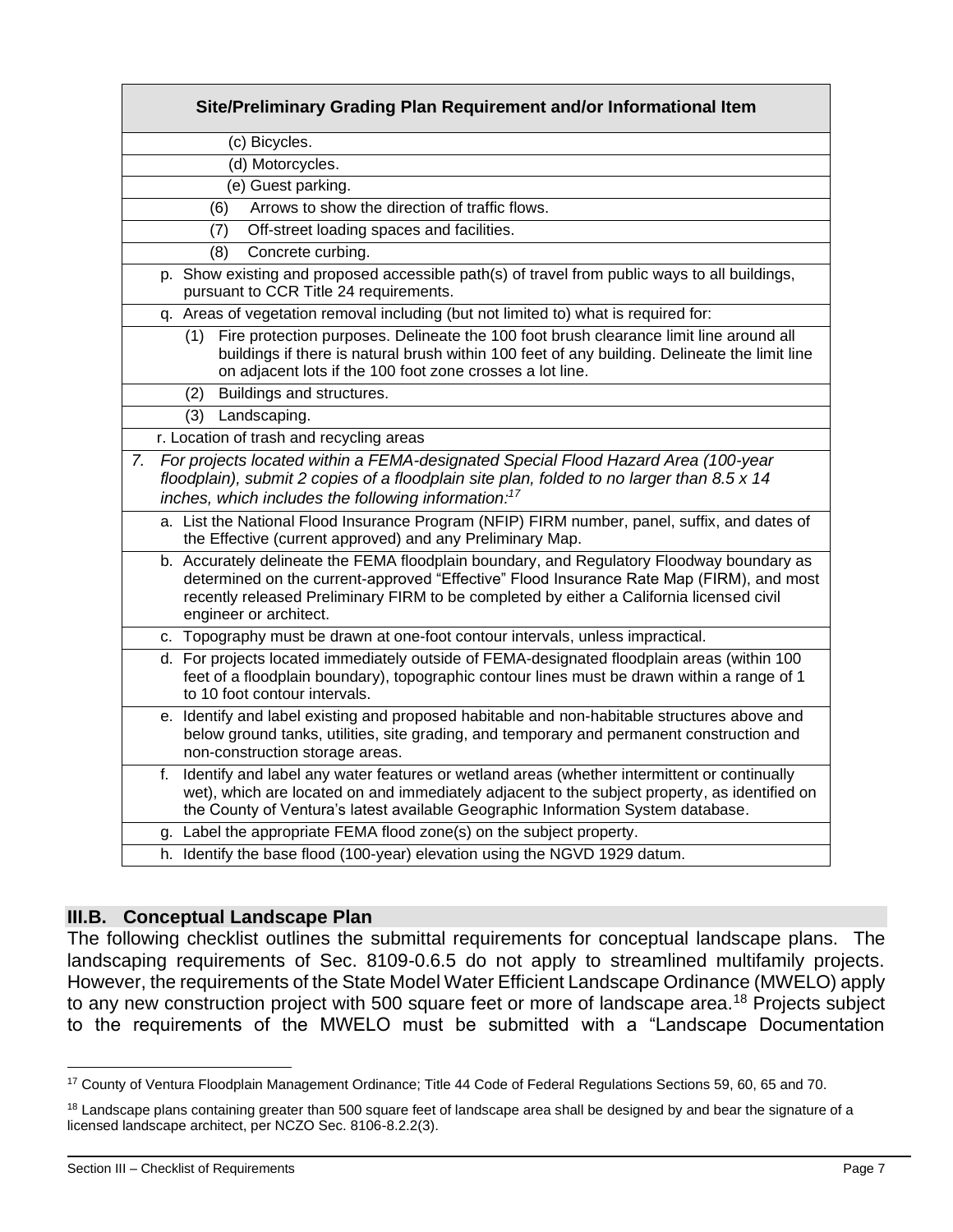| Site/Preliminary Grading Plan Requirement and/or Informational Item                                                                                                                                                                                                                                         |
|-------------------------------------------------------------------------------------------------------------------------------------------------------------------------------------------------------------------------------------------------------------------------------------------------------------|
| (c) Bicycles.                                                                                                                                                                                                                                                                                               |
| (d) Motorcycles.                                                                                                                                                                                                                                                                                            |
| (e) Guest parking.                                                                                                                                                                                                                                                                                          |
| Arrows to show the direction of traffic flows.<br>(6)                                                                                                                                                                                                                                                       |
| Off-street loading spaces and facilities.<br>(7)                                                                                                                                                                                                                                                            |
| Concrete curbing.<br>(8)                                                                                                                                                                                                                                                                                    |
| p. Show existing and proposed accessible path(s) of travel from public ways to all buildings,<br>pursuant to CCR Title 24 requirements.                                                                                                                                                                     |
| Areas of vegetation removal including (but not limited to) what is required for:<br>q.                                                                                                                                                                                                                      |
| Fire protection purposes. Delineate the 100 foot brush clearance limit line around all<br>(1)<br>buildings if there is natural brush within 100 feet of any building. Delineate the limit line<br>on adjacent lots if the 100 foot zone crosses a lot line.                                                 |
| Buildings and structures.<br>(2)                                                                                                                                                                                                                                                                            |
| (3)<br>Landscaping.                                                                                                                                                                                                                                                                                         |
| r. Location of trash and recycling areas                                                                                                                                                                                                                                                                    |
| For projects located within a FEMA-designated Special Flood Hazard Area (100-year<br>$\mathsf{Z}$ .<br>floodplain), submit 2 copies of a floodplain site plan, folded to no larger than 8.5 x 14<br>inches, which includes the following information: <sup>17</sup>                                         |
| a. List the National Flood Insurance Program (NFIP) FIRM number, panel, suffix, and dates of<br>the Effective (current approved) and any Preliminary Map.                                                                                                                                                   |
| b. Accurately delineate the FEMA floodplain boundary, and Regulatory Floodway boundary as<br>determined on the current-approved "Effective" Flood Insurance Rate Map (FIRM), and most<br>recently released Preliminary FIRM to be completed by either a California licensed civil<br>engineer or architect. |
| c. Topography must be drawn at one-foot contour intervals, unless impractical.                                                                                                                                                                                                                              |
| d. For projects located immediately outside of FEMA-designated floodplain areas (within 100<br>feet of a floodplain boundary), topographic contour lines must be drawn within a range of 1<br>to 10 foot contour intervals.                                                                                 |
| e. Identify and label existing and proposed habitable and non-habitable structures above and<br>below ground tanks, utilities, site grading, and temporary and permanent construction and<br>non-construction storage areas.                                                                                |
| Identify and label any water features or wetland areas (whether intermittent or continually<br>f.<br>wet), which are located on and immediately adjacent to the subject property, as identified on<br>the County of Ventura's latest available Geographic Information System database.                      |
| Label the appropriate FEMA flood zone(s) on the subject property.<br>g.                                                                                                                                                                                                                                     |
| h. Identify the base flood (100-year) elevation using the NGVD 1929 datum.                                                                                                                                                                                                                                  |

### **III.B. Conceptual Landscape Plan**

The following checklist outlines the submittal requirements for conceptual landscape plans. The landscaping requirements of Sec. 8109-0.6.5 do not apply to streamlined multifamily projects. However, the requirements of the State Model Water Efficient Landscape Ordinance (MWELO) apply to any new construction project with 500 square feet or more of landscape area.<sup>18</sup> Projects subject to the requirements of the MWELO must be submitted with a "Landscape Documentation

<sup>17</sup> County of Ventura Floodplain Management Ordinance; Title 44 Code of Federal Regulations Sections 59, 60, 65 and 70.

<sup>&</sup>lt;sup>18</sup> Landscape plans containing greater than 500 square feet of landscape area shall be designed by and bear the signature of a licensed landscape architect, per NCZO Sec. 8106-8.2.2(3).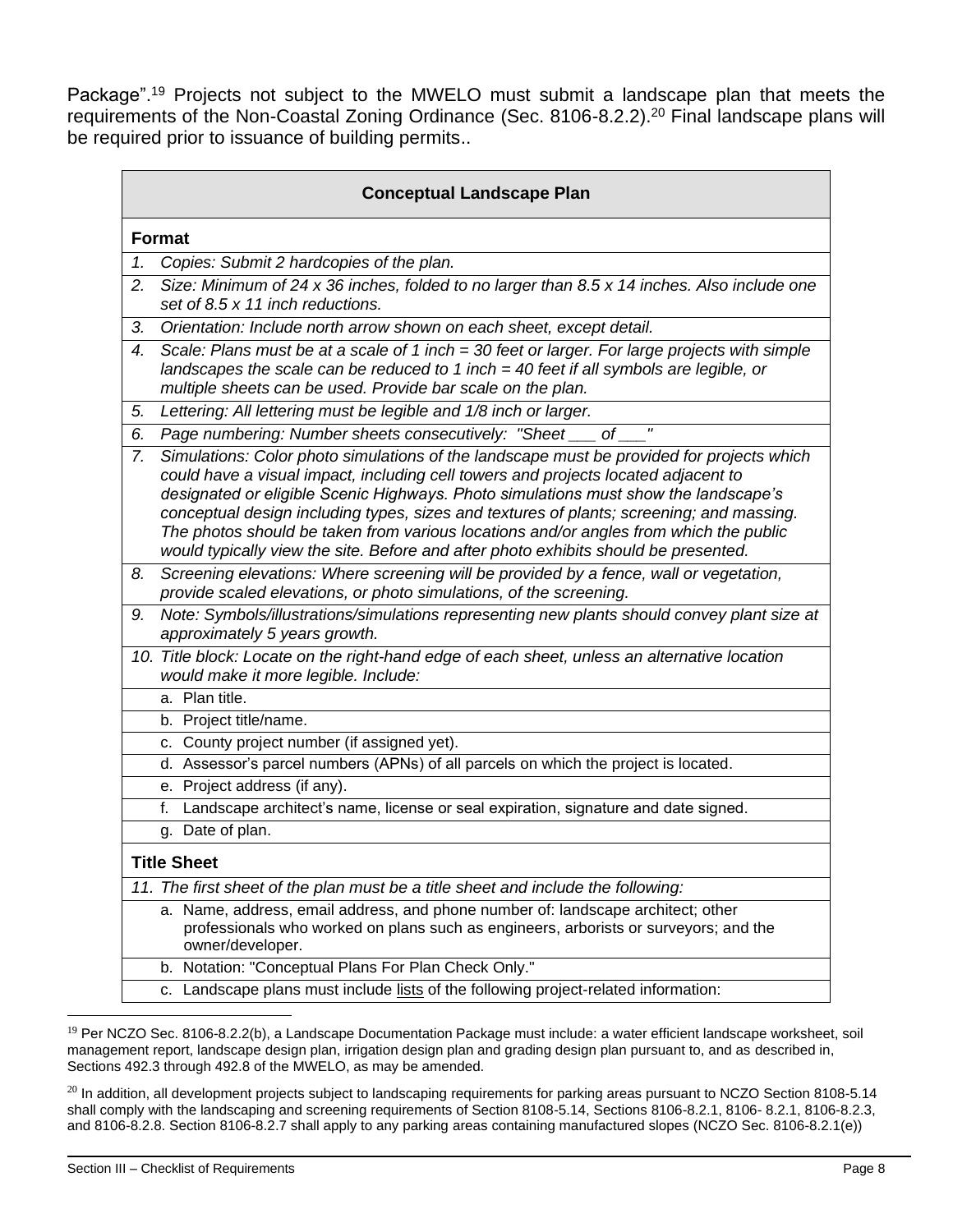Package".<sup>19</sup> Projects not subject to the MWELO must submit a landscape plan that meets the requirements of the Non-Coastal Zoning Ordinance (Sec. 8106-8.2.2).<sup>20</sup> Final landscape plans will be required prior to issuance of building permits..

|    | <b>Conceptual Landscape Plan</b>                                                                                                                                                                                                                                                                                                                                                                                                                                                                                                                   |  |  |
|----|----------------------------------------------------------------------------------------------------------------------------------------------------------------------------------------------------------------------------------------------------------------------------------------------------------------------------------------------------------------------------------------------------------------------------------------------------------------------------------------------------------------------------------------------------|--|--|
|    | <b>Format</b>                                                                                                                                                                                                                                                                                                                                                                                                                                                                                                                                      |  |  |
| 1. | Copies: Submit 2 hardcopies of the plan.                                                                                                                                                                                                                                                                                                                                                                                                                                                                                                           |  |  |
| 2. | Size: Minimum of 24 x 36 inches, folded to no larger than 8.5 x 14 inches. Also include one<br>set of 8.5 x 11 inch reductions.                                                                                                                                                                                                                                                                                                                                                                                                                    |  |  |
| 3. | Orientation: Include north arrow shown on each sheet, except detail.                                                                                                                                                                                                                                                                                                                                                                                                                                                                               |  |  |
| 4. | Scale: Plans must be at a scale of 1 inch = 30 feet or larger. For large projects with simple<br>landscapes the scale can be reduced to 1 inch $=$ 40 feet if all symbols are legible, or<br>multiple sheets can be used. Provide bar scale on the plan.                                                                                                                                                                                                                                                                                           |  |  |
| 5. | Lettering: All lettering must be legible and 1/8 inch or larger.                                                                                                                                                                                                                                                                                                                                                                                                                                                                                   |  |  |
| 6. | Page numbering: Number sheets consecutively: "Sheet __ of _                                                                                                                                                                                                                                                                                                                                                                                                                                                                                        |  |  |
| 7. | Simulations: Color photo simulations of the landscape must be provided for projects which<br>could have a visual impact, including cell towers and projects located adjacent to<br>designated or eligible Scenic Highways. Photo simulations must show the landscape's<br>conceptual design including types, sizes and textures of plants; screening; and massing.<br>The photos should be taken from various locations and/or angles from which the public<br>would typically view the site. Before and after photo exhibits should be presented. |  |  |
| 8. | Screening elevations: Where screening will be provided by a fence, wall or vegetation,<br>provide scaled elevations, or photo simulations, of the screening.                                                                                                                                                                                                                                                                                                                                                                                       |  |  |
| 9. | Note: Symbols/illustrations/simulations representing new plants should convey plant size at<br>approximately 5 years growth.                                                                                                                                                                                                                                                                                                                                                                                                                       |  |  |
|    | 10. Title block: Locate on the right-hand edge of each sheet, unless an alternative location<br>would make it more legible. Include:                                                                                                                                                                                                                                                                                                                                                                                                               |  |  |
|    | a. Plan title.                                                                                                                                                                                                                                                                                                                                                                                                                                                                                                                                     |  |  |
|    | b. Project title/name.                                                                                                                                                                                                                                                                                                                                                                                                                                                                                                                             |  |  |
|    | c. County project number (if assigned yet).                                                                                                                                                                                                                                                                                                                                                                                                                                                                                                        |  |  |
|    | d. Assessor's parcel numbers (APNs) of all parcels on which the project is located.                                                                                                                                                                                                                                                                                                                                                                                                                                                                |  |  |
|    | e. Project address (if any).                                                                                                                                                                                                                                                                                                                                                                                                                                                                                                                       |  |  |
|    | Landscape architect's name, license or seal expiration, signature and date signed.<br>f.                                                                                                                                                                                                                                                                                                                                                                                                                                                           |  |  |
|    | g. Date of plan.                                                                                                                                                                                                                                                                                                                                                                                                                                                                                                                                   |  |  |
|    | <b>Title Sheet</b>                                                                                                                                                                                                                                                                                                                                                                                                                                                                                                                                 |  |  |
|    | 11. The first sheet of the plan must be a title sheet and include the following:                                                                                                                                                                                                                                                                                                                                                                                                                                                                   |  |  |
|    | a. Name, address, email address, and phone number of: landscape architect; other<br>professionals who worked on plans such as engineers, arborists or surveyors; and the<br>owner/developer.                                                                                                                                                                                                                                                                                                                                                       |  |  |
|    | Notation: "Conceptual Plans For Plan Check Only."<br>b.                                                                                                                                                                                                                                                                                                                                                                                                                                                                                            |  |  |
|    | Landscape plans must include lists of the following project-related information:<br>с.                                                                                                                                                                                                                                                                                                                                                                                                                                                             |  |  |

 $19$  Per NCZO Sec. 8106-8.2.2(b), a Landscape Documentation Package must include: a water efficient landscape worksheet, soil management report, landscape design plan, irrigation design plan and grading design plan pursuant to, and as described in, Sections 492.3 through 492.8 of the MWELO, as may be amended.

 $^{20}$  In addition, all development projects subject to landscaping requirements for parking areas pursuant to NCZO Section 8108-5.14 shall comply with the landscaping and screening requirements of Section 8108-5.14, Sections 8106-8.2.1, 8106-8.2.1, 8106-8.2.3, and 8106-8.2.8. Section 8106-8.2.7 shall apply to any parking areas containing manufactured slopes (NCZO Sec. 8106-8.2.1(e))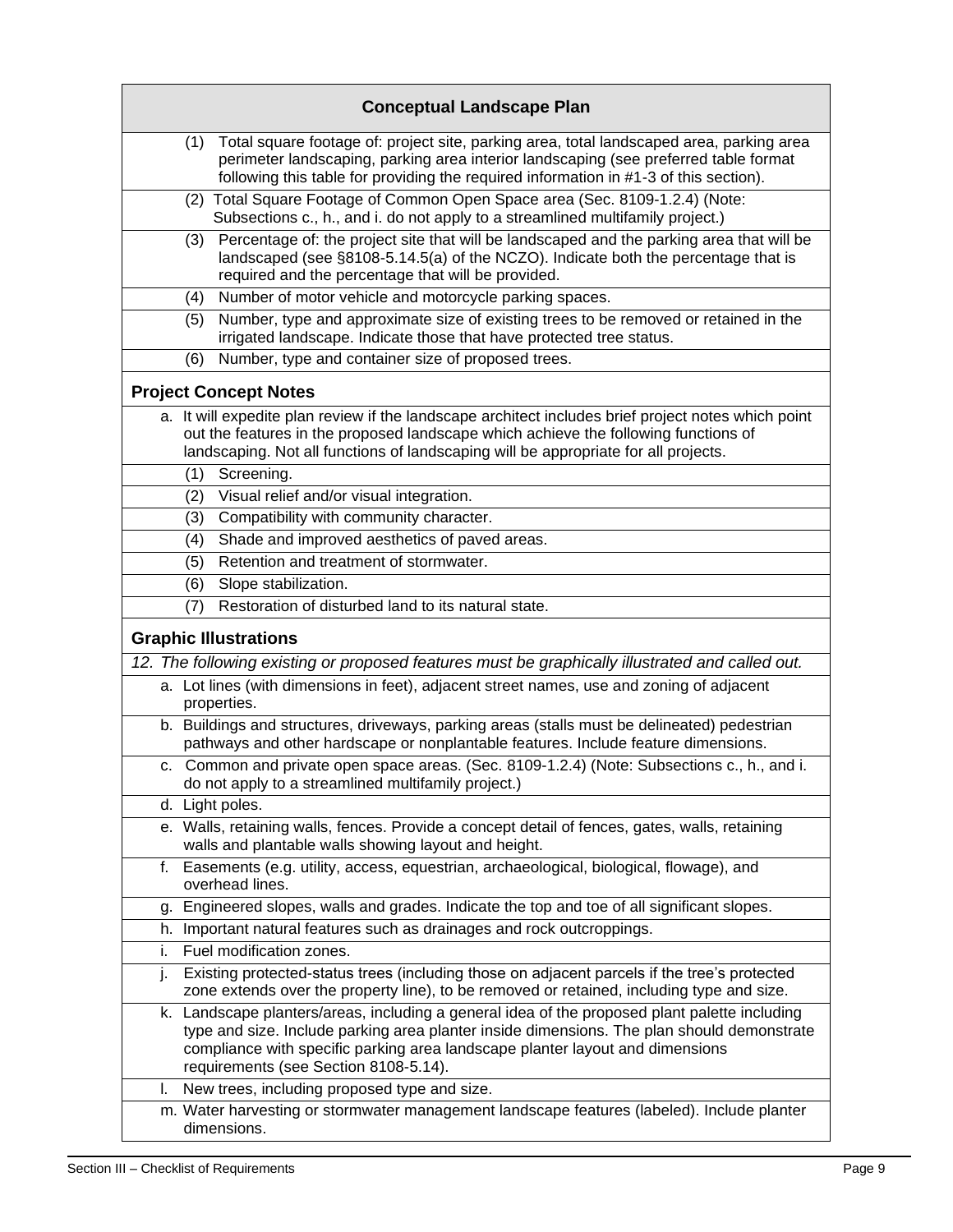|    | <b>Conceptual Landscape Plan</b>                                                                                                                                                                                                                                                                                      |
|----|-----------------------------------------------------------------------------------------------------------------------------------------------------------------------------------------------------------------------------------------------------------------------------------------------------------------------|
|    | Total square footage of: project site, parking area, total landscaped area, parking area<br>(1)<br>perimeter landscaping, parking area interior landscaping (see preferred table format<br>following this table for providing the required information in #1-3 of this section).                                      |
|    | (2) Total Square Footage of Common Open Space area (Sec. 8109-1.2.4) (Note:<br>Subsections c., h., and i. do not apply to a streamlined multifamily project.)                                                                                                                                                         |
|    | Percentage of: the project site that will be landscaped and the parking area that will be<br>(3)<br>landscaped (see §8108-5.14.5(a) of the NCZO). Indicate both the percentage that is<br>required and the percentage that will be provided.                                                                          |
|    | Number of motor vehicle and motorcycle parking spaces.<br>(4)                                                                                                                                                                                                                                                         |
|    | Number, type and approximate size of existing trees to be removed or retained in the<br>(5)<br>irrigated landscape. Indicate those that have protected tree status.                                                                                                                                                   |
|    | Number, type and container size of proposed trees.<br>(6)                                                                                                                                                                                                                                                             |
|    | <b>Project Concept Notes</b>                                                                                                                                                                                                                                                                                          |
|    | a. It will expedite plan review if the landscape architect includes brief project notes which point<br>out the features in the proposed landscape which achieve the following functions of<br>landscaping. Not all functions of landscaping will be appropriate for all projects.                                     |
|    | Screening.<br>(1)<br>Visual relief and/or visual integration.<br>(2)                                                                                                                                                                                                                                                  |
|    | Compatibility with community character.<br>(3)                                                                                                                                                                                                                                                                        |
|    | Shade and improved aesthetics of paved areas.<br>(4)                                                                                                                                                                                                                                                                  |
|    | Retention and treatment of stormwater.<br>(5)                                                                                                                                                                                                                                                                         |
|    | Slope stabilization.<br>(6)                                                                                                                                                                                                                                                                                           |
|    | (7)<br>Restoration of disturbed land to its natural state.                                                                                                                                                                                                                                                            |
|    | <b>Graphic Illustrations</b>                                                                                                                                                                                                                                                                                          |
|    | 12. The following existing or proposed features must be graphically illustrated and called out.                                                                                                                                                                                                                       |
|    | a. Lot lines (with dimensions in feet), adjacent street names, use and zoning of adjacent<br>properties.                                                                                                                                                                                                              |
|    | b. Buildings and structures, driveways, parking areas (stalls must be delineated) pedestrian<br>pathways and other hardscape or nonplantable features. Include feature dimensions.                                                                                                                                    |
|    | c. Common and private open space areas. (Sec. 8109-1.2.4) (Note: Subsections c., h., and i.<br>do not apply to a streamlined multifamily project.)                                                                                                                                                                    |
|    | d. Light poles.                                                                                                                                                                                                                                                                                                       |
|    | e. Walls, retaining walls, fences. Provide a concept detail of fences, gates, walls, retaining<br>walls and plantable walls showing layout and height.                                                                                                                                                                |
| f. | Easements (e.g. utility, access, equestrian, archaeological, biological, flowage), and<br>overhead lines.                                                                                                                                                                                                             |
| g. | Engineered slopes, walls and grades. Indicate the top and toe of all significant slopes.                                                                                                                                                                                                                              |
| h. | Important natural features such as drainages and rock outcroppings.                                                                                                                                                                                                                                                   |
| i. | Fuel modification zones.                                                                                                                                                                                                                                                                                              |
| j. | Existing protected-status trees (including those on adjacent parcels if the tree's protected<br>zone extends over the property line), to be removed or retained, including type and size.                                                                                                                             |
|    | k. Landscape planters/areas, including a general idea of the proposed plant palette including<br>type and size. Include parking area planter inside dimensions. The plan should demonstrate<br>compliance with specific parking area landscape planter layout and dimensions<br>requirements (see Section 8108-5.14). |
| I. | New trees, including proposed type and size.                                                                                                                                                                                                                                                                          |
|    | m. Water harvesting or stormwater management landscape features (labeled). Include planter<br>dimensions.                                                                                                                                                                                                             |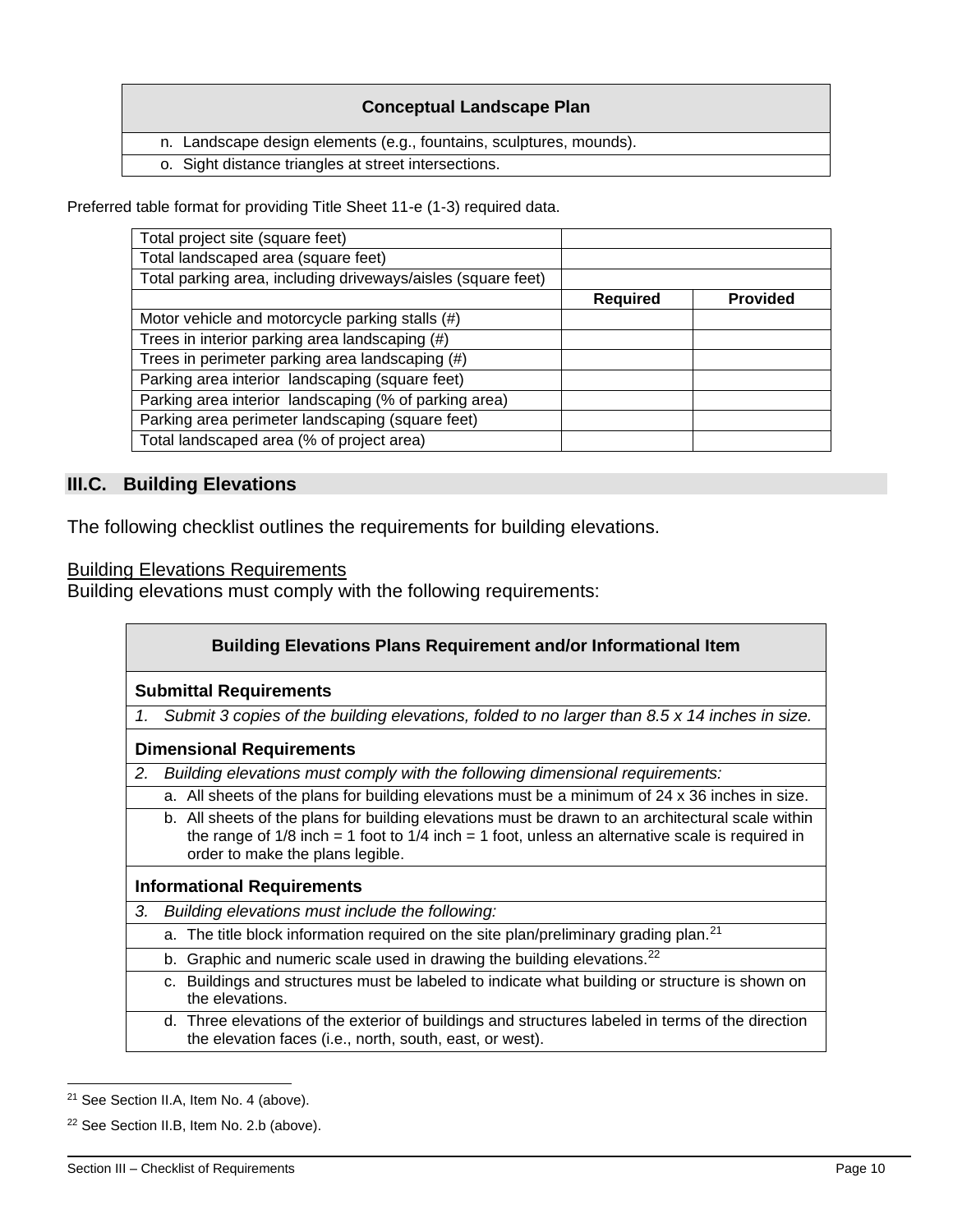### **Conceptual Landscape Plan**

n. Landscape design elements (e.g., fountains, sculptures, mounds).

o. Sight distance triangles at street intersections.

Preferred table format for providing Title Sheet 11-e (1-3) required data.

| Total landscaped area (square feet)<br>Total parking area, including driveways/aisles (square feet)<br><b>Provided</b><br><b>Required</b><br>Motor vehicle and motorcycle parking stalls (#)<br>Trees in interior parking area landscaping (#)<br>Trees in perimeter parking area landscaping (#)<br>Parking area interior landscaping (square feet)<br>Parking area interior landscaping (% of parking area)<br>Parking area perimeter landscaping (square feet) | Total project site (square feet) |  |
|-------------------------------------------------------------------------------------------------------------------------------------------------------------------------------------------------------------------------------------------------------------------------------------------------------------------------------------------------------------------------------------------------------------------------------------------------------------------|----------------------------------|--|
|                                                                                                                                                                                                                                                                                                                                                                                                                                                                   |                                  |  |
|                                                                                                                                                                                                                                                                                                                                                                                                                                                                   |                                  |  |
|                                                                                                                                                                                                                                                                                                                                                                                                                                                                   |                                  |  |
|                                                                                                                                                                                                                                                                                                                                                                                                                                                                   |                                  |  |
|                                                                                                                                                                                                                                                                                                                                                                                                                                                                   |                                  |  |
|                                                                                                                                                                                                                                                                                                                                                                                                                                                                   |                                  |  |
|                                                                                                                                                                                                                                                                                                                                                                                                                                                                   |                                  |  |
|                                                                                                                                                                                                                                                                                                                                                                                                                                                                   |                                  |  |
|                                                                                                                                                                                                                                                                                                                                                                                                                                                                   |                                  |  |
| Total landscaped area (% of project area)                                                                                                                                                                                                                                                                                                                                                                                                                         |                                  |  |

### **III.C. Building Elevations**

The following checklist outlines the requirements for building elevations.

Building Elevations Requirements

Building elevations must comply with the following requirements:

|    | <b>Building Elevations Plans Requirement and/or Informational Item</b>                                                                                                                                                                     |  |  |
|----|--------------------------------------------------------------------------------------------------------------------------------------------------------------------------------------------------------------------------------------------|--|--|
|    | <b>Submittal Requirements</b>                                                                                                                                                                                                              |  |  |
| 1. | Submit 3 copies of the building elevations, folded to no larger than 8.5 x 14 inches in size.                                                                                                                                              |  |  |
|    | <b>Dimensional Requirements</b>                                                                                                                                                                                                            |  |  |
| 2. | Building elevations must comply with the following dimensional requirements:                                                                                                                                                               |  |  |
|    | a. All sheets of the plans for building elevations must be a minimum of 24 x 36 inches in size.                                                                                                                                            |  |  |
|    | b. All sheets of the plans for building elevations must be drawn to an architectural scale within<br>the range of 1/8 inch = 1 foot to $1/4$ inch = 1 foot, unless an alternative scale is required in<br>order to make the plans legible. |  |  |
|    | <b>Informational Requirements</b>                                                                                                                                                                                                          |  |  |
| 3. | Building elevations must include the following:                                                                                                                                                                                            |  |  |
|    | a. The title block information required on the site plan/preliminary grading plan. <sup>21</sup>                                                                                                                                           |  |  |
|    | Graphic and numeric scale used in drawing the building elevations. <sup>22</sup><br>b.                                                                                                                                                     |  |  |
|    | c. Buildings and structures must be labeled to indicate what building or structure is shown on<br>the elevations.                                                                                                                          |  |  |
|    | d. Three elevations of the exterior of buildings and structures labeled in terms of the direction<br>the elevation faces (i.e., north, south, east, or west).                                                                              |  |  |

<sup>21</sup> See Section II.A, Item No. 4 (above).

<sup>&</sup>lt;sup>22</sup> See Section II.B, Item No. 2.b (above).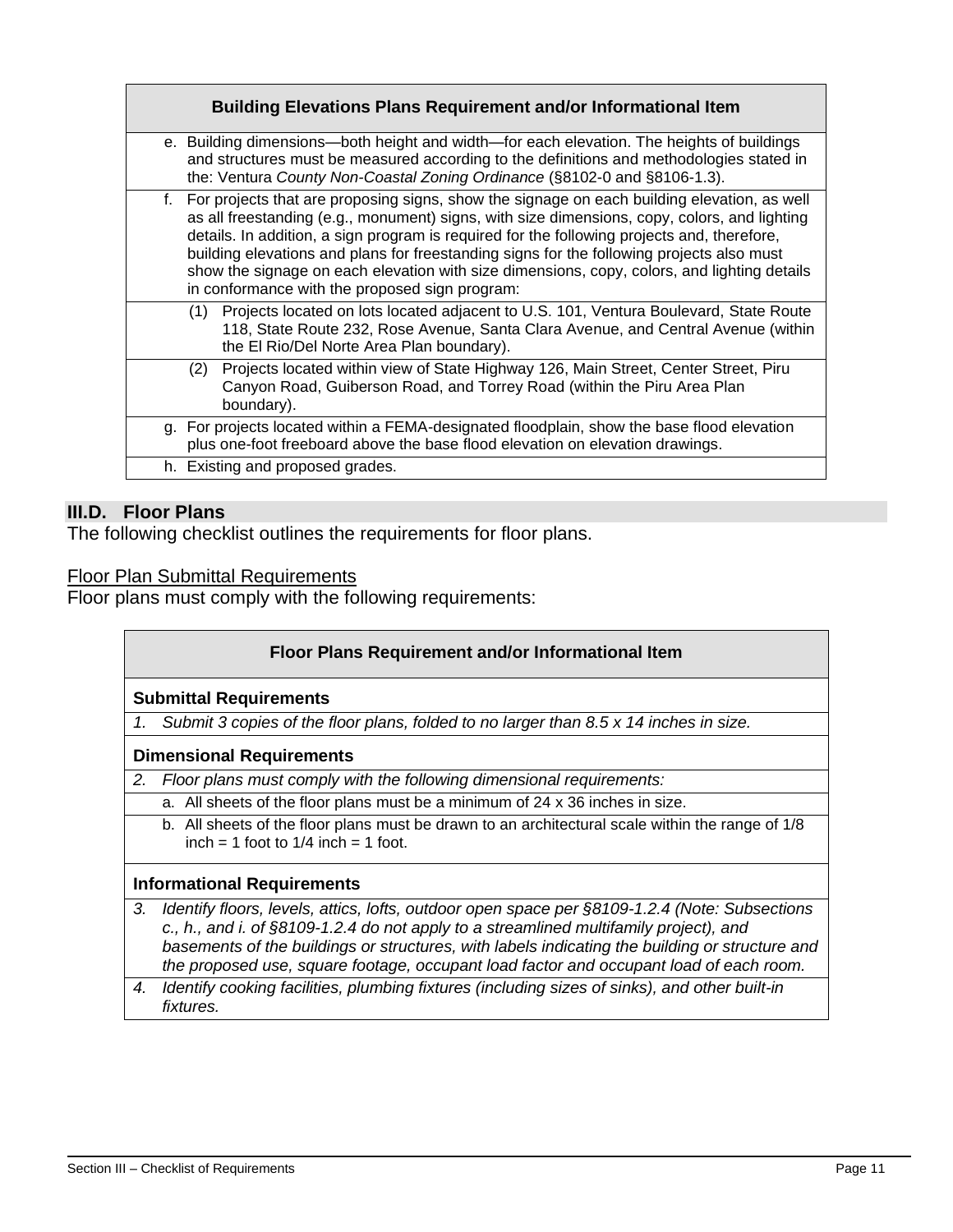| e. Building dimensions—both height and width—for each elevation. The heights of buildings<br>and structures must be measured according to the definitions and methodologies stated in<br>the: Ventura County Non-Coastal Zoning Ordinance (§8102-0 and §8106-1.3).<br>f. For projects that are proposing signs, show the signage on each building elevation, as well<br>as all freestanding (e.g., monument) signs, with size dimensions, copy, colors, and lighting<br>details. In addition, a sign program is required for the following projects and, therefore,<br>building elevations and plans for freestanding signs for the following projects also must<br>show the signage on each elevation with size dimensions, copy, colors, and lighting details<br>in conformance with the proposed sign program:<br>Projects located on lots located adjacent to U.S. 101, Ventura Boulevard, State Route<br>(1)<br>118, State Route 232, Rose Avenue, Santa Clara Avenue, and Central Avenue (within<br>the El Rio/Del Norte Area Plan boundary).<br>Projects located within view of State Highway 126, Main Street, Center Street, Piru<br>(2)<br>Canyon Road, Guiberson Road, and Torrey Road (within the Piru Area Plan<br>boundary).<br>g. For projects located within a FEMA-designated floodplain, show the base flood elevation<br>plus one-foot freeboard above the base flood elevation on elevation drawings.<br>h. Existing and proposed grades. | <b>Building Elevations Plans Requirement and/or Informational Item</b> |
|---------------------------------------------------------------------------------------------------------------------------------------------------------------------------------------------------------------------------------------------------------------------------------------------------------------------------------------------------------------------------------------------------------------------------------------------------------------------------------------------------------------------------------------------------------------------------------------------------------------------------------------------------------------------------------------------------------------------------------------------------------------------------------------------------------------------------------------------------------------------------------------------------------------------------------------------------------------------------------------------------------------------------------------------------------------------------------------------------------------------------------------------------------------------------------------------------------------------------------------------------------------------------------------------------------------------------------------------------------------------------------------------------------------------------------------------------------------|------------------------------------------------------------------------|
|                                                                                                                                                                                                                                                                                                                                                                                                                                                                                                                                                                                                                                                                                                                                                                                                                                                                                                                                                                                                                                                                                                                                                                                                                                                                                                                                                                                                                                                               |                                                                        |
|                                                                                                                                                                                                                                                                                                                                                                                                                                                                                                                                                                                                                                                                                                                                                                                                                                                                                                                                                                                                                                                                                                                                                                                                                                                                                                                                                                                                                                                               |                                                                        |
|                                                                                                                                                                                                                                                                                                                                                                                                                                                                                                                                                                                                                                                                                                                                                                                                                                                                                                                                                                                                                                                                                                                                                                                                                                                                                                                                                                                                                                                               |                                                                        |
|                                                                                                                                                                                                                                                                                                                                                                                                                                                                                                                                                                                                                                                                                                                                                                                                                                                                                                                                                                                                                                                                                                                                                                                                                                                                                                                                                                                                                                                               |                                                                        |
|                                                                                                                                                                                                                                                                                                                                                                                                                                                                                                                                                                                                                                                                                                                                                                                                                                                                                                                                                                                                                                                                                                                                                                                                                                                                                                                                                                                                                                                               |                                                                        |
|                                                                                                                                                                                                                                                                                                                                                                                                                                                                                                                                                                                                                                                                                                                                                                                                                                                                                                                                                                                                                                                                                                                                                                                                                                                                                                                                                                                                                                                               |                                                                        |

# **III.D. Floor Plans**

The following checklist outlines the requirements for floor plans.

Floor Plan Submittal Requirements

Floor plans must comply with the following requirements:

| Floor Plans Requirement and/or Informational Item |                                                                                                                                                                                                                                                                                                                                                                                    |
|---------------------------------------------------|------------------------------------------------------------------------------------------------------------------------------------------------------------------------------------------------------------------------------------------------------------------------------------------------------------------------------------------------------------------------------------|
| <b>Submittal Requirements</b>                     |                                                                                                                                                                                                                                                                                                                                                                                    |
|                                                   | Submit 3 copies of the floor plans, folded to no larger than 8.5 x 14 inches in size.                                                                                                                                                                                                                                                                                              |
| <b>Dimensional Requirements</b>                   |                                                                                                                                                                                                                                                                                                                                                                                    |
| 2.                                                | Floor plans must comply with the following dimensional requirements:                                                                                                                                                                                                                                                                                                               |
|                                                   | a. All sheets of the floor plans must be a minimum of 24 x 36 inches in size.                                                                                                                                                                                                                                                                                                      |
|                                                   | b. All sheets of the floor plans must be drawn to an architectural scale within the range of 1/8<br>$inch = 1$ foot to $1/4$ inch = 1 foot.                                                                                                                                                                                                                                        |
| <b>Informational Requirements</b>                 |                                                                                                                                                                                                                                                                                                                                                                                    |
| 3.                                                | Identify floors, levels, attics, lofts, outdoor open space per §8109-1.2.4 (Note: Subsections<br>c., h., and i. of §8109-1.2.4 do not apply to a streamlined multifamily project), and<br>basements of the buildings or structures, with labels indicating the building or structure and<br>the proposed use, square footage, occupant load factor and occupant load of each room. |

*4. Identify cooking facilities, plumbing fixtures (including sizes of sinks), and other built-in fixtures.*